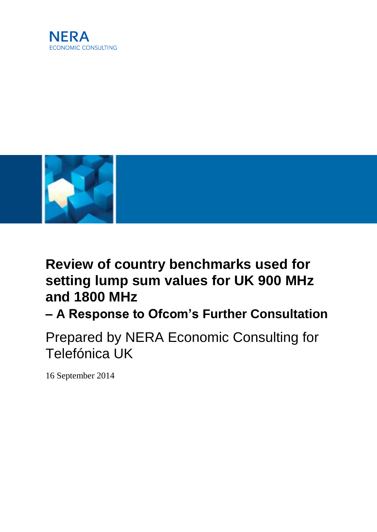



# **Review of country benchmarks used for setting lump sum values for UK 900 MHz and 1800 MHz**

**– A Response to Ofcom's Further Consultation**

Prepared by NERA Economic Consulting for Telefónica UK

16 September 2014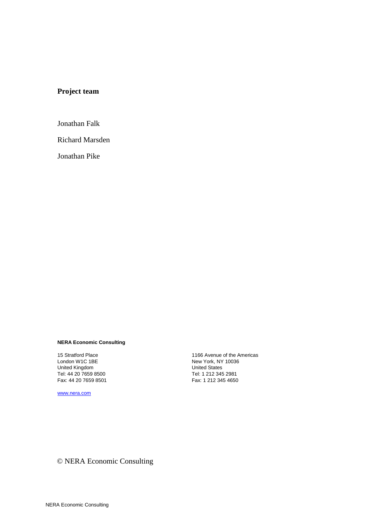### **Project team**

Jonathan Falk

Richard Marsden

Jonathan Pike

#### **NERA Economic Consulting**

15 Stratford Place London W1C 1BE United Kingdom Tel: 44 20 7659 8500 Fax: 44 20 7659 8501

[www.nera.com](http://www.nera.com/)

1166 Avenue of the Americas New York, NY 10036 United States Tel: 1 212 345 2981 Fax: 1 212 345 4650

#### © NERA Economic Consulting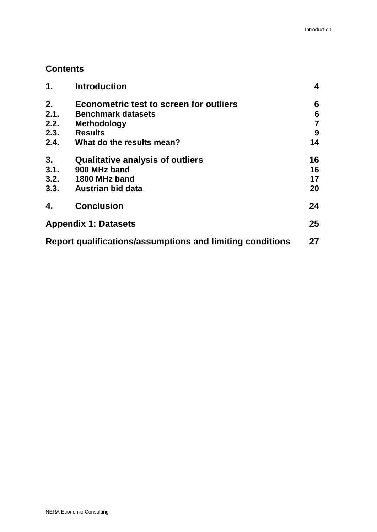# **Contents**

| $\mathbf 1$ . | <b>Introduction</b>                                       | 4  |
|---------------|-----------------------------------------------------------|----|
| 2.            | <b>Econometric test to screen for outliers</b>            | 6  |
| 2.1.          | <b>Benchmark datasets</b>                                 | 6  |
| 2.2.          | <b>Methodology</b>                                        | 7  |
| 2.3.          | <b>Results</b>                                            | 9  |
| 2.4.          | What do the results mean?                                 | 14 |
| 3.            | <b>Qualitative analysis of outliers</b>                   | 16 |
| 3.1.          | 900 MHz band                                              | 16 |
| 3.2.          | 1800 MHz band                                             | 17 |
| 3.3.          | Austrian bid data                                         | 20 |
| 4.            | <b>Conclusion</b>                                         | 24 |
|               | <b>Appendix 1: Datasets</b>                               | 25 |
|               | Report qualifications/assumptions and limiting conditions | 27 |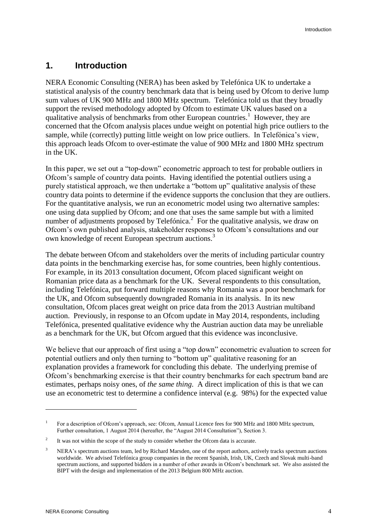#### <span id="page-3-0"></span>**1. Introduction**

NERA Economic Consulting (NERA) has been asked by Telefónica UK to undertake a statistical analysis of the country benchmark data that is being used by Ofcom to derive lump sum values of UK 900 MHz and 1800 MHz spectrum. Telefónica told us that they broadly support the revised methodology adopted by Ofcom to estimate UK values based on a qualitative analysis of benchmarks from other European countries.<sup>1</sup> However, they are concerned that the Ofcom analysis places undue weight on potential high price outliers to the sample, while (correctly) putting little weight on low price outliers. In Telefónica's view, this approach leads Ofcom to over-estimate the value of 900 MHz and 1800 MHz spectrum in the UK.

In this paper, we set out a "top-down" econometric approach to test for probable outliers in Ofcom's sample of country data points. Having identified the potential outliers using a purely statistical approach, we then undertake a "bottom up" qualitative analysis of these country data points to determine if the evidence supports the conclusion that they are outliers. For the quantitative analysis, we run an econometric model using two alternative samples: one using data supplied by Ofcom; and one that uses the same sample but with a limited number of adjustments proposed by Telefónica.<sup>2</sup> For the qualitative analysis, we draw on Ofcom's own published analysis, stakeholder responses to Ofcom's consultations and our own knowledge of recent European spectrum auctions.<sup>3</sup>

The debate between Ofcom and stakeholders over the merits of including particular country data points in the benchmarking exercise has, for some countries, been highly contentious. For example, in its 2013 consultation document, Ofcom placed significant weight on Romanian price data as a benchmark for the UK. Several respondents to this consultation, including Telefónica, put forward multiple reasons why Romania was a poor benchmark for the UK, and Ofcom subsequently downgraded Romania in its analysis. In its new consultation, Ofcom places great weight on price data from the 2013 Austrian multiband auction. Previously, in response to an Ofcom update in May 2014, respondents, including Telefónica, presented qualitative evidence why the Austrian auction data may be unreliable as a benchmark for the UK, but Ofcom argued that this evidence was inconclusive.

We believe that our approach of first using a "top down" econometric evaluation to screen for potential outliers and only then turning to "bottom up" qualitative reasoning for an explanation provides a framework for concluding this debate. The underlying premise of Ofcom's benchmarking exercise is that their country benchmarks for each spectrum band are estimates, perhaps noisy ones, of *the same thing*. A direct implication of this is that we can use an econometric test to determine a confidence interval (e.g. 98%) for the expected value

1

<sup>1</sup> For a description of Ofcom's approach, see: Ofcom, Annual Licence fees for 900 MHz and 1800 MHz spectrum, Further consultation, 1 August 2014 (hereafter, the "August 2014 Consultation"), Section 3.

 $\overline{2}$ It was not within the scope of the study to consider whether the Ofcom data is accurate.

<sup>&</sup>lt;sup>3</sup> NERA's spectrum auctions team, led by Richard Marsden, one of the report authors, actively tracks spectrum auctions worldwide. We advised Telefónica group companies in the recent Spanish, Irish, UK, Czech and Slovak multi-band spectrum auctions, and supported bidders in a number of other awards in Ofcom's benchmark set. We also assisted the BIPT with the design and implementation of the 2013 Belgium 800 MHz auction.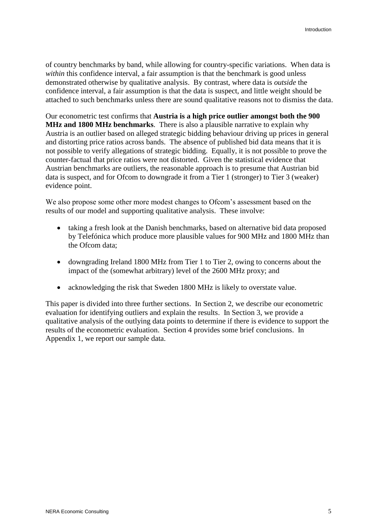of country benchmarks by band, while allowing for country-specific variations. When data is *within* this confidence interval, a fair assumption is that the benchmark is good unless demonstrated otherwise by qualitative analysis. By contrast, where data is *outside* the confidence interval, a fair assumption is that the data is suspect, and little weight should be attached to such benchmarks unless there are sound qualitative reasons not to dismiss the data.

Our econometric test confirms that **Austria is a high price outlier amongst both the 900 MHz and 1800 MHz benchmarks**. There is also a plausible narrative to explain why Austria is an outlier based on alleged strategic bidding behaviour driving up prices in general and distorting price ratios across bands. The absence of published bid data means that it is not possible to verify allegations of strategic bidding. Equally, it is not possible to prove the counter-factual that price ratios were not distorted. Given the statistical evidence that Austrian benchmarks are outliers, the reasonable approach is to presume that Austrian bid data is suspect, and for Ofcom to downgrade it from a Tier 1 (stronger) to Tier 3 (weaker) evidence point.

We also propose some other more modest changes to Ofcom's assessment based on the results of our model and supporting qualitative analysis. These involve:

- taking a fresh look at the Danish benchmarks, based on alternative bid data proposed by Telefónica which produce more plausible values for 900 MHz and 1800 MHz than the Ofcom data;
- downgrading Ireland 1800 MHz from Tier 1 to Tier 2, owing to concerns about the impact of the (somewhat arbitrary) level of the 2600 MHz proxy; and
- acknowledging the risk that Sweden 1800 MHz is likely to overstate value.

This paper is divided into three further sections. In Section 2, we describe our econometric evaluation for identifying outliers and explain the results. In Section 3, we provide a qualitative analysis of the outlying data points to determine if there is evidence to support the results of the econometric evaluation. Section 4 provides some brief conclusions. In Appendix 1, we report our sample data.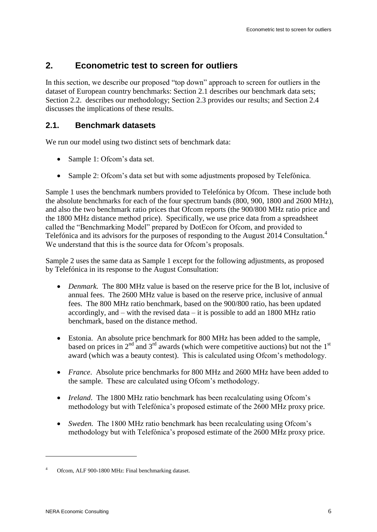# <span id="page-5-0"></span>**2. Econometric test to screen for outliers**

In this section, we describe our proposed "top down" approach to screen for outliers in the dataset of European country benchmarks: Section 2.1 describes our benchmark data sets; Section 2.2. describes our methodology; Section 2.3 provides our results; and Section 2.4 discusses the implications of these results.

#### <span id="page-5-1"></span>**2.1. Benchmark datasets**

We run our model using two distinct sets of benchmark data:

- Sample 1: Ofcom's data set.
- Sample 2: Ofcom's data set but with some adjustments proposed by Telefónica.

Sample 1 uses the benchmark numbers provided to Telefónica by Ofcom. These include both the absolute benchmarks for each of the four spectrum bands (800, 900, 1800 and 2600 MHz), and also the two benchmark ratio prices that Ofcom reports (the 900/800 MHz ratio price and the 1800 MHz distance method price). Specifically, we use price data from a spreadsheet called the "Benchmarking Model" prepared by DotEcon for Ofcom, and provided to Telefónica and its advisors for the purposes of responding to the August 2014 Consultation. 4 We understand that this is the source data for Ofcom's proposals.

Sample 2 uses the same data as Sample 1 except for the following adjustments, as proposed by Telefónica in its response to the August Consultation:

- *Denmark.* The 800 MHz value is based on the reserve price for the B lot, inclusive of annual fees. The 2600 MHz value is based on the reserve price, inclusive of annual fees. The 800 MHz ratio benchmark, based on the 900/800 ratio, has been updated accordingly, and – with the revised data – it is possible to add an  $1800$  MHz ratio benchmark, based on the distance method.
- Estonia. An absolute price benchmark for 800 MHz has been added to the sample, based on prices in  $2<sup>nd</sup>$  and  $3<sup>rd</sup>$  awards (which were competitive auctions) but not the 1<sup>st</sup> award (which was a beauty contest). This is calculated using Ofcom's methodology.
- *France*. Absolute price benchmarks for 800 MHz and 2600 MHz have been added to the sample. These are calculated using Ofcom's methodology.
- *Ireland*. The 1800 MHz ratio benchmark has been recalculating using Ofcom's methodology but with Telefónica's proposed estimate of the 2600 MHz proxy price.
- *Sweden*. The 1800 MHz ratio benchmark has been recalculating using Ofcom's methodology but with Telefónica's proposed estimate of the 2600 MHz proxy price.

Ofcom, ALF 900-1800 MHz: Final benchmarking dataset.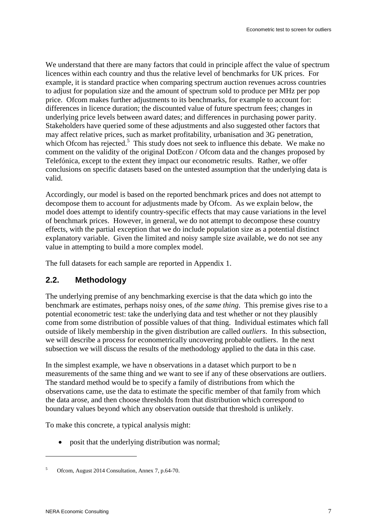We understand that there are many factors that could in principle affect the value of spectrum licences within each country and thus the relative level of benchmarks for UK prices. For example, it is standard practice when comparing spectrum auction revenues across countries to adjust for population size and the amount of spectrum sold to produce per MHz per pop price. Ofcom makes further adjustments to its benchmarks, for example to account for: differences in licence duration; the discounted value of future spectrum fees; changes in underlying price levels between award dates; and differences in purchasing power parity. Stakeholders have queried some of these adjustments and also suggested other factors that may affect relative prices, such as market profitability, urbanisation and 3G penetration, which Ofcom has rejected.<sup>5</sup> This study does not seek to influence this debate. We make no comment on the validity of the original DotEcon / Ofcom data and the changes proposed by Telefónica, except to the extent they impact our econometric results. Rather, we offer conclusions on specific datasets based on the untested assumption that the underlying data is valid.

Accordingly, our model is based on the reported benchmark prices and does not attempt to decompose them to account for adjustments made by Ofcom. As we explain below, the model does attempt to identify country-specific effects that may cause variations in the level of benchmark prices. However, in general, we do not attempt to decompose these country effects, with the partial exception that we do include population size as a potential distinct explanatory variable. Given the limited and noisy sample size available, we do not see any value in attempting to build a more complex model.

The full datasets for each sample are reported in Appendix 1.

# <span id="page-6-0"></span>**2.2. Methodology**

The underlying premise of any benchmarking exercise is that the data which go into the benchmark are estimates, perhaps noisy ones, of *the same thing*. This premise gives rise to a potential econometric test: take the underlying data and test whether or not they plausibly come from some distribution of possible values of that thing. Individual estimates which fall outside of likely membership in the given distribution are called *outliers*. In this subsection, we will describe a process for econometrically uncovering probable outliers. In the next subsection we will discuss the results of the methodology applied to the data in this case.

In the simplest example, we have n observations in a dataset which purport to be n measurements of the same thing and we want to see if any of these observations are outliers. The standard method would be to specify a family of distributions from which the observations came, use the data to estimate the specific member of that family from which the data arose, and then choose thresholds from that distribution which correspond to boundary values beyond which any observation outside that threshold is unlikely.

To make this concrete, a typical analysis might:

• posit that the underlying distribution was normal;

<sup>5</sup> Ofcom, August 2014 Consultation, Annex 7, p.64-70.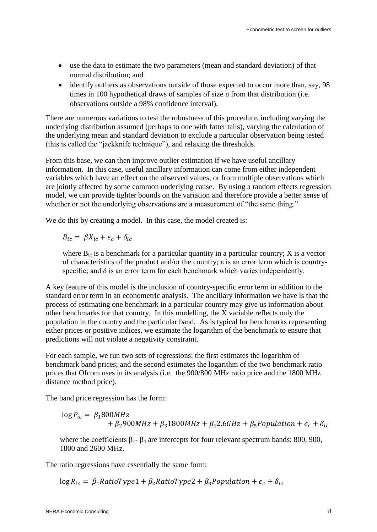- use the data to estimate the two parameters (mean and standard deviation) of that normal distribution; and
- identify outliers as observations outside of those expected to occur more than, say, 98 times in 100 hypothetical draws of samples of size n from that distribution (i.e. observations outside a 98% confidence interval).

There are numerous variations to test the robustness of this procedure, including varying the underlying distribution assumed (perhaps to one with fatter tails), varying the calculation of the underlying mean and standard deviation to exclude a particular observation being tested (this is called the "jackknife technique"), and relaxing the thresholds.

From this base, we can then improve outlier estimation if we have useful ancillary information. In this case, useful ancillary information can come from either independent variables which have an effect on the observed values, or from multiple observations which are jointly affected by some common underlying cause. By using a random effects regression model, we can provide tighter bounds on the variation and therefore provide a better sense of whether or not the underlying observations are a measurement of "the same thing."

We do this by creating a model. In this case, the model created is:

 $B_{ic} = \beta X_{ic} + \epsilon_c + \delta_{ic}$ 

where  $B_{ic}$  is a benchmark for a particular quantity in a particular country; X is a vector of characteristics of the product and/or the country; ε is an error term which is countryspecific; and  $\delta$  is an error term for each benchmark which varies independently.

A key feature of this model is the inclusion of country-specific error term in addition to the standard error term in an econometric analysis. The ancillary information we have is that the process of estimating one benchmark in a particular country may give us information about other benchmarks for that country. In this modelling, the X variable reflects only the population in the country and the particular band. As is typical for benchmarks representing either prices or positive indices, we estimate the logarithm of the benchmark to ensure that predictions will not violate a negativity constraint.

For each sample, we run two sets of regressions: the first estimates the logarithm of benchmark band prices; and the second estimates the logarithm of the two benchmark ratio prices that Ofcom uses in its analysis (i.e. the 900/800 MHz ratio price and the 1800 MHz distance method price).

The band price regression has the form:

$$
log P_{ic} = \beta_1 800 MHz
$$
  
+  $\beta_2 900 MHz$  +  $\beta_3 1800 MHz$  +  $\beta_4 2.6 GHz$  +  $\beta_5 Population$  +  $\epsilon_c$  +  $\delta_{ic}$ 

where the coefficients  $\beta_1$ -  $\beta_4$  are intercepts for four relevant spectrum bands: 800, 900, 1800 and 2600 MHz.

The ratio regressions have essentially the same form:

 $\log R_{ic} = \beta_1 RatioType1 + \beta_2 RatioType2 + \beta_3 Population + \epsilon_c + \delta_{ic}$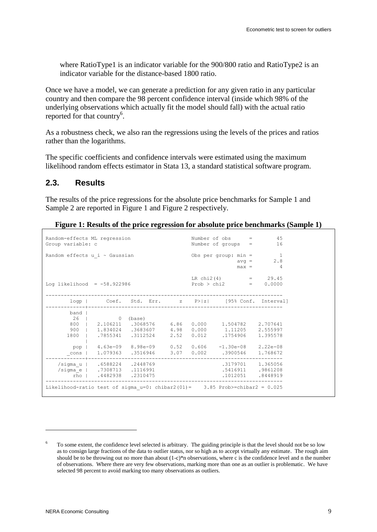where RatioType1 is an indicator variable for the 900/800 ratio and RatioType2 is an indicator variable for the distance-based 1800 ratio.

Once we have a model, we can generate a prediction for any given ratio in any particular country and then compare the 98 percent confidence interval (inside which 98% of the underlying observations which actually fit the model should fall) with the actual ratio reported for that country<sup>6</sup>.

As a robustness check, we also ran the regressions using the levels of the prices and ratios rather than the logarithms.

The specific coefficients and confidence intervals were estimated using the maximum likelihood random effects estimator in Stata 13, a standard statistical software program.

#### <span id="page-8-0"></span>**2.3. Results**

The results of the price regressions for the absolute price benchmarks for Sample 1 and Sample 2 are reported in [Figure 1](#page-8-1) and [Figure 2](#page-9-0) respectively.

#### **Figure 1: Results of the price regression for absolute price benchmarks (Sample 1)**

<span id="page-8-1"></span>

| Random-effects ML regression<br>Group variable: c                              |                                                         |                          | Number of $obs$ = 45<br>Number of groups $=$ 16 |                                                |                                                                                                                                                                      |  |
|--------------------------------------------------------------------------------|---------------------------------------------------------|--------------------------|-------------------------------------------------|------------------------------------------------|----------------------------------------------------------------------------------------------------------------------------------------------------------------------|--|
| Random effects u i ~ Gaussian                                                  |                                                         |                          |                                                 | Obs per group: $min = 1$<br>$max =$            | $avg = 2.8$<br>$\overline{4}$                                                                                                                                        |  |
| Log likelihood = $-58.922986$                                                  |                                                         |                          |                                                 | LR chi2(4) = $29.45$<br>$Prob > chi2 = 0.0000$ |                                                                                                                                                                      |  |
|                                                                                |                                                         |                          | . 222222222222222                               |                                                | logp   Coef. Std. Err. z P> z  [95% Conf. Interval]                                                                                                                  |  |
| band                                                                           | 26   0 (base)                                           |                          |                                                 |                                                | 800   2.106211 .3068576 6.86 0.000 1.504782 2.707641<br>900   1.834024 .3683607 4.98 0.000 1.11205 2.555997<br>1800   .7855341 .3112524 2.52 0.012 .1754906 1.395578 |  |
| cons                                                                           |                                                         |                          |                                                 |                                                | pop   4.63e-09 8.98e-09  0.52  0.606  -1.30e-08  2.22e-08<br>1.079363 .3516946 3.07 0.002 .3900546 1.768672                                                          |  |
|                                                                                | /sigma e   .7308713 .1116991<br>rho   .4482938 .2310475 | /sigmaul.6588224.2448769 |                                                 |                                                | .3179701 1.365056<br>.5416911 .9861208<br>.1012051.8448919                                                                                                           |  |
| Likelihood-ratio test of sigma $u=0$ : chibar2(01)= 3.85 Prob>=chibar2 = 0.025 |                                                         |                          |                                                 |                                                |                                                                                                                                                                      |  |

1

<sup>6</sup> To some extent, the confidence level selected is arbitrary. The guiding principle is that the level should not be so low as to consign large fractions of the data to outlier status, nor so high as to accept virtually any estimate. The rough aim should be to be throwing out no more than about  $(1-c)^*n$  observations, where c is the confidence level and n the number of observations. Where there are very few observations, marking more than one as an outlier is problematic. We have selected 98 percent to avoid marking too many observations as outliers.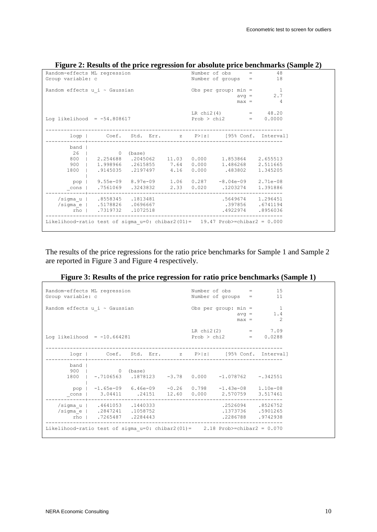<span id="page-9-0"></span>

| Random-effects ML regression                                                    |                              |                          |  |                      | Number of obs<br>$=$                                  | 48           |  |
|---------------------------------------------------------------------------------|------------------------------|--------------------------|--|----------------------|-------------------------------------------------------|--------------|--|
| Group variable: c                                                               |                              |                          |  | Number of groups $=$ | 18                                                    |              |  |
|                                                                                 |                              |                          |  |                      |                                                       |              |  |
| Random effects u i ~ Gaussian                                                   |                              |                          |  |                      | Obs per group: $min =$                                | 1            |  |
|                                                                                 |                              |                          |  |                      | $avg = 2.7$                                           |              |  |
|                                                                                 |                              |                          |  |                      |                                                       | $max =$<br>4 |  |
|                                                                                 |                              |                          |  |                      |                                                       |              |  |
|                                                                                 |                              |                          |  |                      | LR $chi2(4)$ = 48.20                                  |              |  |
| Log likelihood = $-54.808617$                                                   |                              |                          |  |                      | $Prob > chi2 = 0.0000$                                |              |  |
|                                                                                 |                              |                          |  |                      |                                                       |              |  |
|                                                                                 |                              |                          |  |                      |                                                       |              |  |
|                                                                                 |                              |                          |  |                      | logp   Coef. Std. Err. z P> z  [95% Conf. Interval]   |              |  |
|                                                                                 |                              |                          |  |                      |                                                       |              |  |
| band                                                                            |                              |                          |  |                      |                                                       |              |  |
|                                                                                 | 26   0 (base)                |                          |  |                      | 800   2.254688 .2045062 11.03 0.000 1.853864 2.655513 |              |  |
|                                                                                 |                              |                          |  |                      |                                                       |              |  |
| $900$                                                                           |                              |                          |  |                      | 1.998966 .2615855 7.64 0.000 1.486268                 | 2.511665     |  |
| 1800                                                                            |                              | .9145035 .2197497 4.16   |  | 0.000                | 483802                                                | 1.345205     |  |
|                                                                                 |                              |                          |  |                      |                                                       |              |  |
|                                                                                 |                              |                          |  |                      | pop   9.55e-09 8.97e-09 1.06 0.287 -8.04e-09 2.71e-08 |              |  |
| cons                                                                            |                              |                          |  |                      | .7561069 .3243832 2.33 0.020 .1203274                 | 1.391886     |  |
|                                                                                 |                              | /sigmaul.8558345.1813481 |  |                      | .5649674 1.296451                                     |              |  |
|                                                                                 | /sigma e   .5178826 .0696667 |                          |  |                      | .397856 .6741194                                      |              |  |
|                                                                                 |                              |                          |  |                      |                                                       |              |  |
| $rho$ $ $                                                                       | .7319732 .1072518            |                          |  |                      | .4922974                                              | .8956036     |  |
|                                                                                 |                              |                          |  |                      |                                                       |              |  |
| Likelihood-ratio test of sigma $u=0$ : chibar2(01)= 19.47 Prob>=chibar2 = 0.000 |                              |                          |  |                      |                                                       |              |  |
|                                                                                 |                              |                          |  |                      |                                                       |              |  |

**Figure 2: Results of the price regression for absolute price benchmarks (Sample 2)**

The results of the price regressions for the ratio price benchmarks for Sample 1 and Sample 2 are reported in [Figure 3](#page-9-1) and [Figure 4](#page-10-0) respectively.

**Figure 3: Results of the price regression for ratio price benchmarks (Sample 1)**

<span id="page-9-1"></span>

| Random-effects ML regression<br>Group variable: c                              |                                                                                     |  | Number of $obs$ = 15<br>Number of groups =<br>11 |                                                                      |                                                                                                                                                                            |  |
|--------------------------------------------------------------------------------|-------------------------------------------------------------------------------------|--|--------------------------------------------------|----------------------------------------------------------------------|----------------------------------------------------------------------------------------------------------------------------------------------------------------------------|--|
| Random effects u i ~ Gaussian                                                  |                                                                                     |  |                                                  | Obs per group: $min = 1$<br>$avg = 1.4$<br>$\overline{2}$<br>$max =$ |                                                                                                                                                                            |  |
| Log likelihood = $-10.664281$                                                  |                                                                                     |  |                                                  |                                                                      | LR chi2(2) = $7.09$<br>$Prob > chi2$ = 0.0288                                                                                                                              |  |
|                                                                                |                                                                                     |  |                                                  |                                                                      | logr   Coef. Std. Err. z P> z  [95% Conf. Interval]                                                                                                                        |  |
| band l                                                                         | 900   0 (base)                                                                      |  |                                                  |                                                                      | 1800   -.7106563 .1878123 -3.78 0.000 -1.078762 -.342551<br>pop   -1.65e-09 6.46e-09 -0.26 0.798 -1.43e-08 1.10e-08<br>cons   3.04411 .24151 12.60 0.000 2.570759 3.517461 |  |
|                                                                                | /sigmaul.4641053.1440333<br>/sigma e   .2847241 .1058752<br>rho   .7265487 .2284443 |  |                                                  |                                                                      | .2526094 .8526752<br>.1373736 .5901265<br>.2286788 .9742938                                                                                                                |  |
| Likelihood-ratio test of sigma $u=0$ : chibar2(01)= 2.18 Prob>=chibar2 = 0.070 |                                                                                     |  |                                                  |                                                                      |                                                                                                                                                                            |  |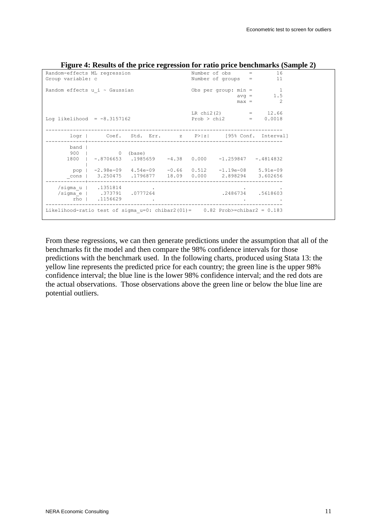<span id="page-10-0"></span>

|                                                                                | $\frac{1}{2}$ is negated of the price regression for ratio price benefitimating (painpie $\frac{1}{2}$ ) |  |                                              |                                                                                                                                   |  |  |
|--------------------------------------------------------------------------------|----------------------------------------------------------------------------------------------------------|--|----------------------------------------------|-----------------------------------------------------------------------------------------------------------------------------------|--|--|
| Random-effects ML regression<br>Group variable: c                              |                                                                                                          |  | Number of $obs$ = $16$<br>Number of groups = | 11                                                                                                                                |  |  |
| Random effects u i ~ Gaussian                                                  |                                                                                                          |  | Obs per group: $min = 1$                     | $avg = 1.5$<br>$max =$                                                                                                            |  |  |
| Log likelihood = $-8.3157162$                                                  |                                                                                                          |  |                                              | LR chi2(2) = $12.66$<br>Prob > chi2 = $0.0018$                                                                                    |  |  |
|                                                                                |                                                                                                          |  |                                              | logr   Coef. Std. Err. z P> z  [95% Conf. Interval]                                                                               |  |  |
| band                                                                           | 900   0 (base)                                                                                           |  |                                              | 1800   -.8706653 .1985659 -4.38 0.000 -1.259847 -.4814832                                                                         |  |  |
|                                                                                |                                                                                                          |  |                                              | pop $ -2.98e-09 \t 4.54e-09 \t -0.66 \t 0.512 \t -1.19e-08 \t 5.91e-09$<br>cons   3.250475 .1796877 18.09 0.000 2.898294 3.602656 |  |  |
|                                                                                | /sigma u   .1351814 .<br>/sigmael.373791.0777264<br>rho   .1156629                                       |  |                                              | .2486734 .5618603                                                                                                                 |  |  |
| Likelihood-ratio test of sigma $u=0$ : chibar2(01)= 0.82 Prob>=chibar2 = 0.183 |                                                                                                          |  |                                              |                                                                                                                                   |  |  |

**Figure 4: Results of the price regression for ratio price benchmarks (Sample 2)**

From these regressions, we can then generate predictions under the assumption that all of the benchmarks fit the model and then compare the 98% confidence intervals for those predictions with the benchmark used. In the following charts, produced using Stata 13: the yellow line represents the predicted price for each country; the green line is the upper 98% confidence interval; the blue line is the lower 98% confidence interval; and the red dots are the actual observations. Those observations above the green line or below the blue line are potential outliers.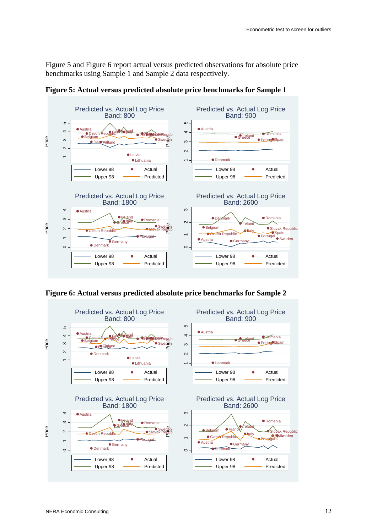[Figure 5](#page-11-0) and [Figure 6](#page-11-1) report actual versus predicted observations for absolute price benchmarks using Sample 1 and Sample 2 data respectively.



<span id="page-11-0"></span>**Figure 5: Actual versus predicted absolute price benchmarks for Sample 1**

<span id="page-11-1"></span>

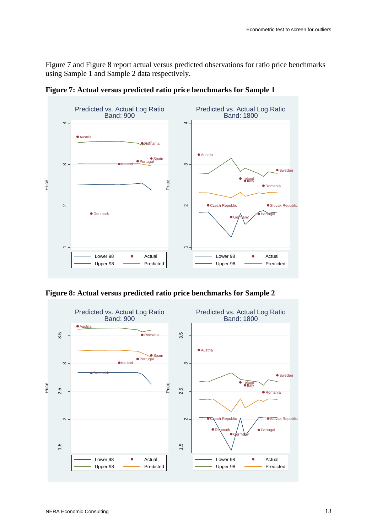[Figure 7](#page-12-0) and [Figure 8](#page-12-1) report actual versus predicted observations for ratio price benchmarks using Sample 1 and Sample 2 data respectively.



<span id="page-12-0"></span>**Figure 7: Actual versus predicted ratio price benchmarks for Sample 1**

<span id="page-12-1"></span>**Figure 8: Actual versus predicted ratio price benchmarks for Sample 2**

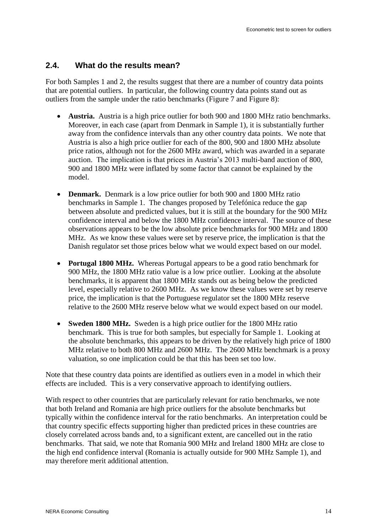#### <span id="page-13-0"></span>**2.4. What do the results mean?**

For both Samples 1 and 2, the results suggest that there are a number of country data points that are potential outliers. In particular, the following country data points stand out as outliers from the sample under the ratio benchmarks [\(Figure 7](#page-12-0) and [Figure 8\)](#page-12-1):

- **Austria.** Austria is a high price outlier for both 900 and 1800 MHz ratio benchmarks. Moreover, in each case (apart from Denmark in Sample 1), it is substantially further away from the confidence intervals than any other country data points. We note that Austria is also a high price outlier for each of the 800, 900 and 1800 MHz absolute price ratios, although not for the 2600 MHz award, which was awarded in a separate auction. The implication is that prices in Austria's 2013 multi-band auction of 800, 900 and 1800 MHz were inflated by some factor that cannot be explained by the model.
- **Denmark.** Denmark is a low price outlier for both 900 and 1800 MHz ratio benchmarks in Sample 1. The changes proposed by Telefónica reduce the gap between absolute and predicted values, but it is still at the boundary for the 900 MHz confidence interval and below the 1800 MHz confidence interval. The source of these observations appears to be the low absolute price benchmarks for 900 MHz and 1800 MHz. As we know these values were set by reserve price, the implication is that the Danish regulator set those prices below what we would expect based on our model.
- **Portugal 1800 MHz.** Whereas Portugal appears to be a good ratio benchmark for 900 MHz, the 1800 MHz ratio value is a low price outlier. Looking at the absolute benchmarks, it is apparent that 1800 MHz stands out as being below the predicted level, especially relative to 2600 MHz. As we know these values were set by reserve price, the implication is that the Portuguese regulator set the 1800 MHz reserve relative to the 2600 MHz reserve below what we would expect based on our model.
- **Sweden 1800 MHz.** Sweden is a high price outlier for the 1800 MHz ratio benchmark. This is true for both samples, but especially for Sample 1. Looking at the absolute benchmarks, this appears to be driven by the relatively high price of 1800 MHz relative to both 800 MHz and 2600 MHz. The 2600 MHz benchmark is a proxy valuation, so one implication could be that this has been set too low.

Note that these country data points are identified as outliers even in a model in which their effects are included. This is a very conservative approach to identifying outliers.

With respect to other countries that are particularly relevant for ratio benchmarks, we note that both Ireland and Romania are high price outliers for the absolute benchmarks but typically within the confidence interval for the ratio benchmarks. An interpretation could be that country specific effects supporting higher than predicted prices in these countries are closely correlated across bands and, to a significant extent, are cancelled out in the ratio benchmarks. That said, we note that Romania 900 MHz and Ireland 1800 MHz are close to the high end confidence interval (Romania is actually outside for 900 MHz Sample 1), and may therefore merit additional attention.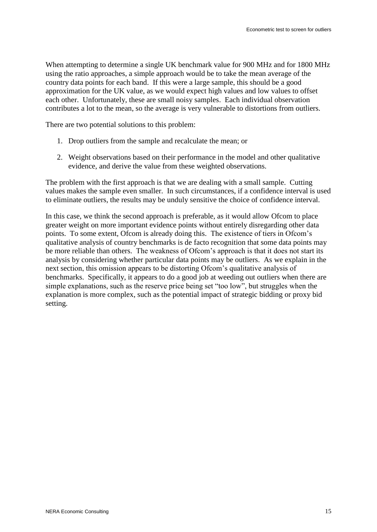When attempting to determine a single UK benchmark value for 900 MHz and for 1800 MHz using the ratio approaches, a simple approach would be to take the mean average of the country data points for each band. If this were a large sample, this should be a good approximation for the UK value, as we would expect high values and low values to offset each other. Unfortunately, these are small noisy samples. Each individual observation contributes a lot to the mean, so the average is very vulnerable to distortions from outliers.

There are two potential solutions to this problem:

- 1. Drop outliers from the sample and recalculate the mean; or
- 2. Weight observations based on their performance in the model and other qualitative evidence, and derive the value from these weighted observations.

The problem with the first approach is that we are dealing with a small sample. Cutting values makes the sample even smaller. In such circumstances, if a confidence interval is used to eliminate outliers, the results may be unduly sensitive the choice of confidence interval.

In this case, we think the second approach is preferable, as it would allow Ofcom to place greater weight on more important evidence points without entirely disregarding other data points. To some extent, Ofcom is already doing this. The existence of tiers in Ofcom's qualitative analysis of country benchmarks is de facto recognition that some data points may be more reliable than others. The weakness of Ofcom's approach is that it does not start its analysis by considering whether particular data points may be outliers. As we explain in the next section, this omission appears to be distorting Ofcom's qualitative analysis of benchmarks. Specifically, it appears to do a good job at weeding out outliers when there are simple explanations, such as the reserve price being set "too low", but struggles when the explanation is more complex, such as the potential impact of strategic bidding or proxy bid setting.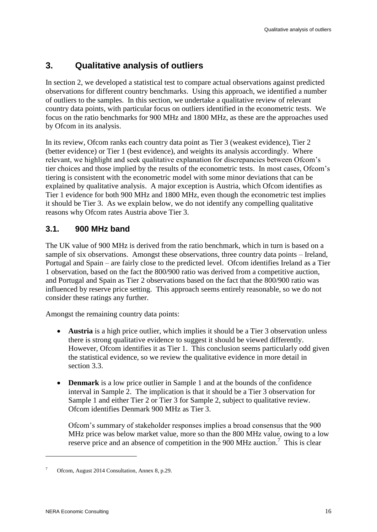# <span id="page-15-0"></span>**3. Qualitative analysis of outliers**

In section 2, we developed a statistical test to compare actual observations against predicted observations for different country benchmarks. Using this approach, we identified a number of outliers to the samples. In this section, we undertake a qualitative review of relevant country data points, with particular focus on outliers identified in the econometric tests. We focus on the ratio benchmarks for 900 MHz and 1800 MHz, as these are the approaches used by Ofcom in its analysis.

In its review, Ofcom ranks each country data point as Tier 3 (weakest evidence), Tier 2 (better evidence) or Tier 1 (best evidence), and weights its analysis accordingly. Where relevant, we highlight and seek qualitative explanation for discrepancies between Ofcom's tier choices and those implied by the results of the econometric tests. In most cases, Ofcom's tiering is consistent with the econometric model with some minor deviations that can be explained by qualitative analysis. A major exception is Austria, which Ofcom identifies as Tier 1 evidence for both 900 MHz and 1800 MHz, even though the econometric test implies it should be Tier 3. As we explain below, we do not identify any compelling qualitative reasons why Ofcom rates Austria above Tier 3.

# <span id="page-15-1"></span>**3.1. 900 MHz band**

The UK value of 900 MHz is derived from the ratio benchmark, which in turn is based on a sample of six observations. Amongst these observations, three country data points – Ireland, Portugal and Spain – are fairly close to the predicted level. Ofcom identifies Ireland as a Tier 1 observation, based on the fact the 800/900 ratio was derived from a competitive auction, and Portugal and Spain as Tier 2 observations based on the fact that the 800/900 ratio was influenced by reserve price setting. This approach seems entirely reasonable, so we do not consider these ratings any further.

Amongst the remaining country data points:

- **Austria** is a high price outlier, which implies it should be a Tier 3 observation unless there is strong qualitative evidence to suggest it should be viewed differently. However, Ofcom identifies it as Tier 1. This conclusion seems particularly odd given the statistical evidence, so we review the qualitative evidence in more detail in section [3.3.](#page-19-0)
- **Denmark** is a low price outlier in Sample 1 and at the bounds of the confidence interval in Sample 2. The implication is that it should be a Tier 3 observation for Sample 1 and either Tier 2 or Tier 3 for Sample 2, subject to qualitative review. Ofcom identifies Denmark 900 MHz as Tier 3.

Ofcom's summary of stakeholder responses implies a broad consensus that the 900 MHz price was below market value, more so than the 800 MHz value, owing to a low reserve price and an absence of competition in the 900 MHz auction.<sup>7</sup> This is clear

<sup>7</sup> Ofcom, August 2014 Consultation, Annex 8, p.29.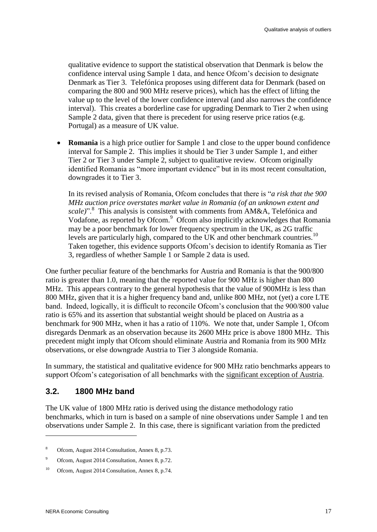qualitative evidence to support the statistical observation that Denmark is below the confidence interval using Sample 1 data, and hence Ofcom's decision to designate Denmark as Tier 3. Telefónica proposes using different data for Denmark (based on comparing the 800 and 900 MHz reserve prices), which has the effect of lifting the value up to the level of the lower confidence interval (and also narrows the confidence interval). This creates a borderline case for upgrading Denmark to Tier 2 when using Sample 2 data, given that there is precedent for using reserve price ratios (e.g. Portugal) as a measure of UK value.

 **Romania** is a high price outlier for Sample 1 and close to the upper bound confidence interval for Sample 2. This implies it should be Tier 3 under Sample 1, and either Tier 2 or Tier 3 under Sample 2, subject to qualitative review. Ofcom originally identified Romania as "more important evidence" but in its most recent consultation, downgrades it to Tier 3.

In its revised analysis of Romania, Ofcom concludes that there is "*a risk that the 900 MHz auction price overstates market value in Romania (of an unknown extent and*  scale)".<sup>8</sup> This analysis is consistent with comments from AM&A, Telefónica and Vodafone, as reported by Ofcom.<sup>9</sup> Ofcom also implicitly acknowledges that Romania may be a poor benchmark for lower frequency spectrum in the UK, as 2G traffic levels are particularly high, compared to the UK and other benchmark countries.<sup>10</sup> Taken together, this evidence supports Ofcom's decision to identify Romania as Tier 3, regardless of whether Sample 1 or Sample 2 data is used.

One further peculiar feature of the benchmarks for Austria and Romania is that the 900/800 ratio is greater than 1.0, meaning that the reported value for 900 MHz is higher than 800 MHz. This appears contrary to the general hypothesis that the value of 900MHz is less than 800 MHz, given that it is a higher frequency band and, unlike 800 MHz, not (yet) a core LTE band. Indeed, logically, it is difficult to reconcile Ofcom's conclusion that the 900/800 value ratio is 65% and its assertion that substantial weight should be placed on Austria as a benchmark for 900 MHz, when it has a ratio of 110%. We note that, under Sample 1, Ofcom disregards Denmark as an observation because its 2600 MHz price is above 1800 MHz. This precedent might imply that Ofcom should eliminate Austria and Romania from its 900 MHz observations, or else downgrade Austria to Tier 3 alongside Romania.

In summary, the statistical and qualitative evidence for 900 MHz ratio benchmarks appears to support Ofcom's categorisation of all benchmarks with the significant exception of Austria.

#### <span id="page-16-0"></span>**3.2. 1800 MHz band**

The UK value of 1800 MHz ratio is derived using the distance methodology ratio benchmarks, which in turn is based on a sample of nine observations under Sample 1 and ten observations under Sample 2. In this case, there is significant variation from the predicted

<sup>8</sup> Ofcom, August 2014 Consultation, Annex 8, p.73.

<sup>9</sup> Ofcom, August 2014 Consultation, Annex 8, p.72.

<sup>&</sup>lt;sup>10</sup> Ofcom, August 2014 Consultation, Annex 8, p.74.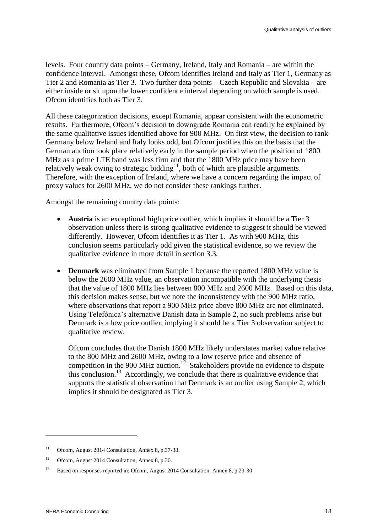levels. Four country data points – Germany, Ireland, Italy and Romania – are within the confidence interval. Amongst these, Ofcom identifies Ireland and Italy as Tier 1, Germany as Tier 2 and Romania as Tier 3. Two further data points – Czech Republic and Slovakia – are either inside or sit upon the lower confidence interval depending on which sample is used. Ofcom identifies both as Tier 3.

All these categorization decisions, except Romania, appear consistent with the econometric results. Furthermore, Ofcom's decision to downgrade Romania can readily be explained by the same qualitative issues identified above for 900 MHz. On first view, the decision to rank Germany below Ireland and Italy looks odd, but Ofcom justifies this on the basis that the German auction took place relatively early in the sample period when the position of 1800 MHz as a prime LTE band was less firm and that the 1800 MHz price may have been relatively weak owing to strategic bidding<sup>11</sup>, both of which are plausible arguments. Therefore, with the exception of Ireland, where we have a concern regarding the impact of proxy values for 2600 MHz, we do not consider these rankings further.

Amongst the remaining country data points:

- **Austria** is an exceptional high price outlier, which implies it should be a Tier 3 observation unless there is strong qualitative evidence to suggest it should be viewed differently. However, Ofcom identifies it as Tier 1. As with 900 MHz, this conclusion seems particularly odd given the statistical evidence, so we review the qualitative evidence in more detail in section [3.3.](#page-19-0)
- **Denmark** was eliminated from Sample 1 because the reported 1800 MHz value is below the 2600 MHz value, an observation incompatible with the underlying thesis that the value of 1800 MHz lies between 800 MHz and 2600 MHz. Based on this data, this decision makes sense, but we note the inconsistency with the 900 MHz ratio, where observations that report a 900 MHz price above 800 MHz are not eliminated. Using Telefónica's alternative Danish data in Sample 2, no such problems arise but Denmark is a low price outlier, implying it should be a Tier 3 observation subject to qualitative review.

Ofcom concludes that the Danish 1800 MHz likely understates market value relative to the 800 MHz and 2600 MHz, owing to a low reserve price and absence of competition in the 900 MHz auction.<sup>12</sup> Stakeholders provide no evidence to dispute this conclusion.<sup>13</sup> Accordingly, we conclude that there is qualitative evidence that supports the statistical observation that Denmark is an outlier using Sample 2, which implies it should be designated as Tier 3.

<sup>&</sup>lt;sup>11</sup> Ofcom, August 2014 Consultation, Annex 8, p.37-38.

<sup>12</sup> Ofcom, August 2014 Consultation, Annex 8, p.30.

<sup>&</sup>lt;sup>13</sup> Based on responses reported in: Ofcom, August 2014 Consultation, Annex 8, p.29-30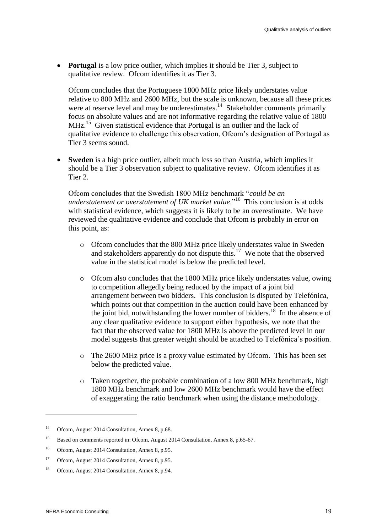**Portugal** is a low price outlier, which implies it should be Tier 3, subject to qualitative review. Ofcom identifies it as Tier 3.

Ofcom concludes that the Portuguese 1800 MHz price likely understates value relative to 800 MHz and 2600 MHz, but the scale is unknown, because all these prices were at reserve level and may be underestimates.<sup>14</sup> Stakeholder comments primarily focus on absolute values and are not informative regarding the relative value of 1800 MHz.<sup>15</sup> Given statistical evidence that Portugal is an outlier and the lack of qualitative evidence to challenge this observation, Ofcom's designation of Portugal as Tier 3 seems sound.

 **Sweden** is a high price outlier, albeit much less so than Austria, which implies it should be a Tier 3 observation subject to qualitative review. Ofcom identifies it as Tier 2.

Ofcom concludes that the Swedish 1800 MHz benchmark "*could be an understatement or overstatement of UK market value*."<sup>16</sup> This conclusion is at odds with statistical evidence, which suggests it is likely to be an overestimate. We have reviewed the qualitative evidence and conclude that Ofcom is probably in error on this point, as:

- o Ofcom concludes that the 800 MHz price likely understates value in Sweden and stakeholders apparently do not dispute this.<sup>17</sup> We note that the observed value in the statistical model is below the predicted level.
- o Ofcom also concludes that the 1800 MHz price likely understates value, owing to competition allegedly being reduced by the impact of a joint bid arrangement between two bidders. This conclusion is disputed by Telefónica, which points out that competition in the auction could have been enhanced by the joint bid, notwithstanding the lower number of bidders.<sup>18</sup> In the absence of any clear qualitative evidence to support either hypothesis, we note that the fact that the observed value for 1800 MHz is above the predicted level in our model suggests that greater weight should be attached to Telefónica's position.
- o The 2600 MHz price is a proxy value estimated by Ofcom. This has been set below the predicted value.
- $\circ$  Taken together, the probable combination of a low 800 MHz benchmark, high 1800 MHz benchmark and low 2600 MHz benchmark would have the effect of exaggerating the ratio benchmark when using the distance methodology.

1

<sup>14</sup> Ofcom, August 2014 Consultation, Annex 8, p.68.

<sup>&</sup>lt;sup>15</sup> Based on comments reported in: Ofcom, August 2014 Consultation, Annex 8, p.65-67.

<sup>&</sup>lt;sup>16</sup> Ofcom, August 2014 Consultation, Annex 8, p.95.

<sup>17</sup> Ofcom, August 2014 Consultation, Annex 8, p.95.

<sup>18</sup> Ofcom, August 2014 Consultation, Annex 8, p.94.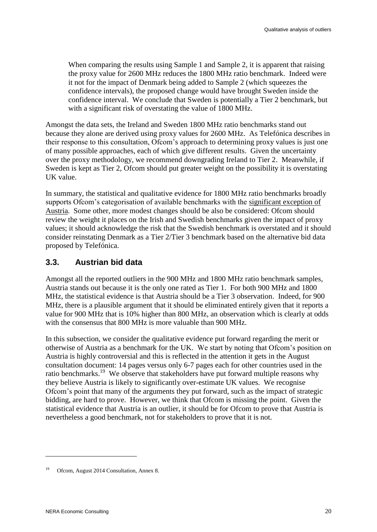When comparing the results using Sample 1 and Sample 2, it is apparent that raising the proxy value for 2600 MHz reduces the 1800 MHz ratio benchmark. Indeed were it not for the impact of Denmark being added to Sample 2 (which squeezes the confidence intervals), the proposed change would have brought Sweden inside the confidence interval. We conclude that Sweden is potentially a Tier 2 benchmark, but with a significant risk of overstating the value of 1800 MHz.

Amongst the data sets, the Ireland and Sweden 1800 MHz ratio benchmarks stand out because they alone are derived using proxy values for 2600 MHz. As Telefónica describes in their response to this consultation, Ofcom's approach to determining proxy values is just one of many possible approaches, each of which give different results. Given the uncertainty over the proxy methodology, we recommend downgrading Ireland to Tier 2. Meanwhile, if Sweden is kept as Tier 2, Ofcom should put greater weight on the possibility it is overstating UK value.

In summary, the statistical and qualitative evidence for 1800 MHz ratio benchmarks broadly supports Ofcom's categorisation of available benchmarks with the significant exception of Austria. Some other, more modest changes should be also be considered: Ofcom should review the weight it places on the Irish and Swedish benchmarks given the impact of proxy values; it should acknowledge the risk that the Swedish benchmark is overstated and it should consider reinstating Denmark as a Tier 2/Tier 3 benchmark based on the alternative bid data proposed by Telefónica.

# <span id="page-19-0"></span>**3.3. Austrian bid data**

Amongst all the reported outliers in the 900 MHz and 1800 MHz ratio benchmark samples, Austria stands out because it is the only one rated as Tier 1. For both 900 MHz and 1800 MHz, the statistical evidence is that Austria should be a Tier 3 observation. Indeed, for 900 MHz, there is a plausible argument that it should be eliminated entirely given that it reports a value for 900 MHz that is 10% higher than 800 MHz, an observation which is clearly at odds with the consensus that 800 MHz is more valuable than 900 MHz.

In this subsection, we consider the qualitative evidence put forward regarding the merit or otherwise of Austria as a benchmark for the UK. We start by noting that Ofcom's position on Austria is highly controversial and this is reflected in the attention it gets in the August consultation document: 14 pages versus only 6-7 pages each for other countries used in the ratio benchmarks.<sup>19</sup> We observe that stakeholders have put forward multiple reasons why they believe Austria is likely to significantly over-estimate UK values. We recognise Ofcom's point that many of the arguments they put forward, such as the impact of strategic bidding, are hard to prove. However, we think that Ofcom is missing the point. Given the statistical evidence that Austria is an outlier, it should be for Ofcom to prove that Austria is nevertheless a good benchmark, not for stakeholders to prove that it is not.

<sup>&</sup>lt;sup>19</sup> Ofcom, August 2014 Consultation, Annex 8.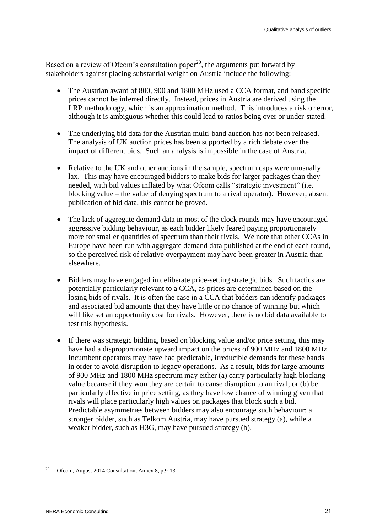Based on a review of Ofcom's consultation paper<sup>20</sup>, the arguments put forward by stakeholders against placing substantial weight on Austria include the following:

- The Austrian award of 800, 900 and 1800 MHz used a CCA format, and band specific prices cannot be inferred directly. Instead, prices in Austria are derived using the LRP methodology, which is an approximation method. This introduces a risk or error, although it is ambiguous whether this could lead to ratios being over or under-stated.
- The underlying bid data for the Austrian multi-band auction has not been released. The analysis of UK auction prices has been supported by a rich debate over the impact of different bids. Such an analysis is impossible in the case of Austria.
- Relative to the UK and other auctions in the sample, spectrum caps were unusually lax. This may have encouraged bidders to make bids for larger packages than they needed, with bid values inflated by what Ofcom calls "strategic investment" (i.e. blocking value – the value of denying spectrum to a rival operator). However, absent publication of bid data, this cannot be proved.
- The lack of aggregate demand data in most of the clock rounds may have encouraged aggressive bidding behaviour, as each bidder likely feared paying proportionately more for smaller quantities of spectrum than their rivals. We note that other CCAs in Europe have been run with aggregate demand data published at the end of each round, so the perceived risk of relative overpayment may have been greater in Austria than elsewhere.
- Bidders may have engaged in deliberate price-setting strategic bids. Such tactics are potentially particularly relevant to a CCA, as prices are determined based on the losing bids of rivals. It is often the case in a CCA that bidders can identify packages and associated bid amounts that they have little or no chance of winning but which will like set an opportunity cost for rivals. However, there is no bid data available to test this hypothesis.
- If there was strategic bidding, based on blocking value and/or price setting, this may have had a disproportionate upward impact on the prices of 900 MHz and 1800 MHz. Incumbent operators may have had predictable, irreducible demands for these bands in order to avoid disruption to legacy operations. As a result, bids for large amounts of 900 MHz and 1800 MHz spectrum may either (a) carry particularly high blocking value because if they won they are certain to cause disruption to an rival; or (b) be particularly effective in price setting, as they have low chance of winning given that rivals will place particularly high values on packages that block such a bid. Predictable asymmetries between bidders may also encourage such behaviour: a stronger bidder, such as Telkom Austria, may have pursued strategy (a), while a weaker bidder, such as H3G, may have pursued strategy (b).

<sup>&</sup>lt;sup>20</sup> Ofcom, August 2014 Consultation, Annex 8, p.9-13.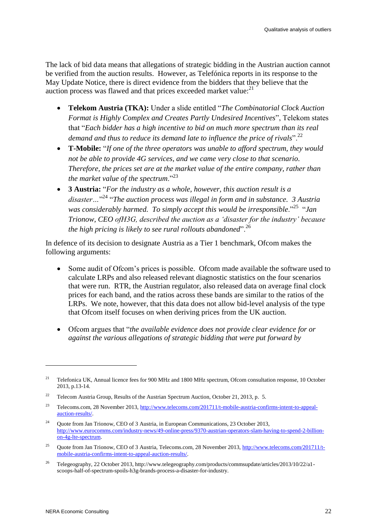The lack of bid data means that allegations of strategic bidding in the Austrian auction cannot be verified from the auction results. However, as Telefónica reports in its response to the May Update Notice, there is direct evidence from the bidders that they believe that the auction process was flawed and that prices exceeded market value: $^{21}$ 

- **Telekom Austria (TKA):** Under a slide entitled "*The Combinatorial Clock Auction Format is Highly Complex and Creates Partly Undesired Incentives*", Telekom states that "*Each bidder has a high incentive to bid on much more spectrum than its real demand and thus to reduce its demand late to influence the price of rivals*".<sup>22</sup>
- **T-Mobile:** "*If one of the three operators was unable to afford spectrum, they would not be able to provide 4G services, and we came very close to that scenario. Therefore, the prices set are at the market value of the entire company, rather than the market value of the spectrum*."<sup>23</sup>
- **3 Austria:** "*For the industry as a whole, however, this auction result is a disaster…*" <sup>24</sup> "*The auction process was illegal in form and in substance. 3 Austria*  was considerably harmed. To simply accept this would be irresponsible."<sup>25</sup> "Jan *Trionow, CEO ofH3G, described the auction as a 'disaster for the industry' because the high pricing is likely to see rural rollouts abandoned*".<sup>26</sup>

In defence of its decision to designate Austria as a Tier 1 benchmark, Ofcom makes the following arguments:

- Some audit of Ofcom's prices is possible. Of com made available the software used to calculate LRPs and also released relevant diagnostic statistics on the four scenarios that were run. RTR, the Austrian regulator, also released data on average final clock prices for each band, and the ratios across these bands are similar to the ratios of the LRPs. We note, however, that this data does not allow bid-level analysis of the type that Ofcom itself focuses on when deriving prices from the UK auction.
- Ofcom argues that "*the available evidence does not provide clear evidence for or against the various allegations of strategic bidding that were put forward by*

<sup>&</sup>lt;sup>21</sup> Telefonica UK, Annual licence fees for 900 MHz and 1800 MHz spectrum, Ofcom consultation response, 10 October 2013, p.13-14.

<sup>&</sup>lt;sup>22</sup> Telecom Austria Group, Results of the Austrian Spectrum Auction, October 21, 2013, p. 5.

<sup>23</sup> Telecoms.com, 28 November 2013, [http://www.telecoms.com/201711/t-mobile-austria-confirms-intent-to-appeal](http://www.telecoms.com/201711/t-mobile-austria-confirms-intent-to-appeal-auction-results/)[auction-results/.](http://www.telecoms.com/201711/t-mobile-austria-confirms-intent-to-appeal-auction-results/)

<sup>&</sup>lt;sup>24</sup> Ouote from Jan Trionow, CEO of 3 Austria, in European Communications, 23 October 2013, [http://www.eurocomms.com/industry-news/49-online-press/9370-austrian-operators-slam-having-to-spend-2-billion](http://www.eurocomms.com/industry-news/49-online-press/9370-austrian-operators-slam-having-to-spend-2-billion-on-4g-lte-spectrum)[on-4g-lte-spectrum.](http://www.eurocomms.com/industry-news/49-online-press/9370-austrian-operators-slam-having-to-spend-2-billion-on-4g-lte-spectrum)

<sup>&</sup>lt;sup>25</sup> Ouote from Jan Trionow, CEO of 3 Austria, Telecoms.com, 28 November 2013[, http://www.telecoms.com/201711/t](http://www.telecoms.com/201711/t-mobile-austria-confirms-intent-to-appeal-auction-results/)[mobile-austria-confirms-intent-to-appeal-auction-results/.](http://www.telecoms.com/201711/t-mobile-austria-confirms-intent-to-appeal-auction-results/)

<sup>&</sup>lt;sup>26</sup> Telegeography, 22 October 2013, http://www.telegeography.com/products/commsupdate/articles/2013/10/22/a1scoops-half-of-spectrum-spoils-h3g-brands-process-a-disaster-for-industry.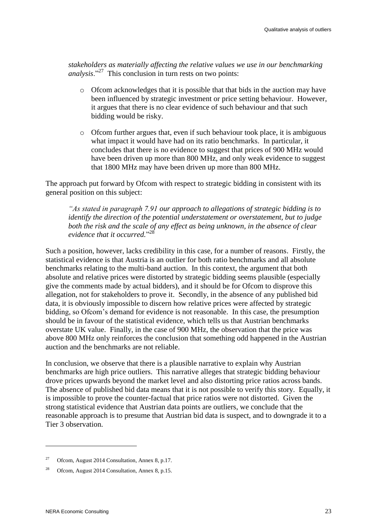*stakeholders as materially affecting the relative values we use in our benchmarking*  analysis."<sup>27</sup> This conclusion in turn rests on two points:

- o Ofcom acknowledges that it is possible that that bids in the auction may have been influenced by strategic investment or price setting behaviour. However, it argues that there is no clear evidence of such behaviour and that such bidding would be risky.
- o Ofcom further argues that, even if such behaviour took place, it is ambiguous what impact it would have had on its ratio benchmarks. In particular, it concludes that there is no evidence to suggest that prices of 900 MHz would have been driven up more than 800 MHz, and only weak evidence to suggest that 1800 MHz may have been driven up more than 800 MHz.

The approach put forward by Ofcom with respect to strategic bidding in consistent with its general position on this subject:

*"As stated in paragraph 7.91 our approach to allegations of strategic bidding is to identify the direction of the potential understatement or overstatement, but to judge both the risk and the scale of any effect as being unknown, in the absence of clear evidence that it occurred.*" 28

Such a position, however, lacks credibility in this case, for a number of reasons. Firstly, the statistical evidence is that Austria is an outlier for both ratio benchmarks and all absolute benchmarks relating to the multi-band auction. In this context, the argument that both absolute and relative prices were distorted by strategic bidding seems plausible (especially give the comments made by actual bidders), and it should be for Ofcom to disprove this allegation, not for stakeholders to prove it. Secondly, in the absence of any published bid data, it is obviously impossible to discern how relative prices were affected by strategic bidding, so Ofcom's demand for evidence is not reasonable. In this case, the presumption should be in favour of the statistical evidence, which tells us that Austrian benchmarks overstate UK value. Finally, in the case of 900 MHz, the observation that the price was above 800 MHz only reinforces the conclusion that something odd happened in the Austrian auction and the benchmarks are not reliable.

In conclusion, we observe that there is a plausible narrative to explain why Austrian benchmarks are high price outliers. This narrative alleges that strategic bidding behaviour drove prices upwards beyond the market level and also distorting price ratios across bands. The absence of published bid data means that it is not possible to verify this story. Equally, it is impossible to prove the counter-factual that price ratios were not distorted. Given the strong statistical evidence that Austrian data points are outliers, we conclude that the reasonable approach is to presume that Austrian bid data is suspect, and to downgrade it to a Tier 3 observation.

1

<sup>&</sup>lt;sup>27</sup> Ofcom, August 2014 Consultation, Annex 8, p.17.

<sup>28</sup> Ofcom, August 2014 Consultation, Annex 8, p.15.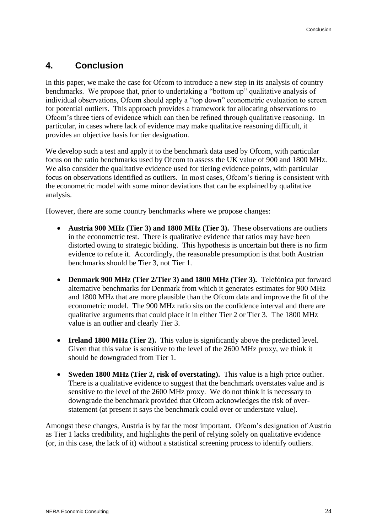# <span id="page-23-0"></span>**4. Conclusion**

In this paper, we make the case for Ofcom to introduce a new step in its analysis of country benchmarks. We propose that, prior to undertaking a "bottom up" qualitative analysis of individual observations, Ofcom should apply a "top down" econometric evaluation to screen for potential outliers. This approach provides a framework for allocating observations to Ofcom's three tiers of evidence which can then be refined through qualitative reasoning. In particular, in cases where lack of evidence may make qualitative reasoning difficult, it provides an objective basis for tier designation.

We develop such a test and apply it to the benchmark data used by Ofcom, with particular focus on the ratio benchmarks used by Ofcom to assess the UK value of 900 and 1800 MHz. We also consider the qualitative evidence used for tiering evidence points, with particular focus on observations identified as outliers. In most cases, Ofcom's tiering is consistent with the econometric model with some minor deviations that can be explained by qualitative analysis.

However, there are some country benchmarks where we propose changes:

- **Austria 900 MHz (Tier 3) and 1800 MHz (Tier 3).** These observations are outliers in the econometric test. There is qualitative evidence that ratios may have been distorted owing to strategic bidding. This hypothesis is uncertain but there is no firm evidence to refute it. Accordingly, the reasonable presumption is that both Austrian benchmarks should be Tier 3, not Tier 1.
- **Denmark 900 MHz (Tier 2/Tier 3) and 1800 MHz (Tier 3).** Telefónica put forward alternative benchmarks for Denmark from which it generates estimates for 900 MHz and 1800 MHz that are more plausible than the Ofcom data and improve the fit of the econometric model. The 900 MHz ratio sits on the confidence interval and there are qualitative arguments that could place it in either Tier 2 or Tier 3. The 1800 MHz value is an outlier and clearly Tier 3.
- **Ireland 1800 MHz (Tier 2).** This value is significantly above the predicted level. Given that this value is sensitive to the level of the 2600 MHz proxy, we think it should be downgraded from Tier 1.
- **Sweden 1800 MHz (Tier 2, risk of overstating).** This value is a high price outlier. There is a qualitative evidence to suggest that the benchmark overstates value and is sensitive to the level of the 2600 MHz proxy. We do not think it is necessary to downgrade the benchmark provided that Ofcom acknowledges the risk of overstatement (at present it says the benchmark could over or understate value).

Amongst these changes, Austria is by far the most important. Ofcom's designation of Austria as Tier 1 lacks credibility, and highlights the peril of relying solely on qualitative evidence (or, in this case, the lack of it) without a statistical screening process to identify outliers.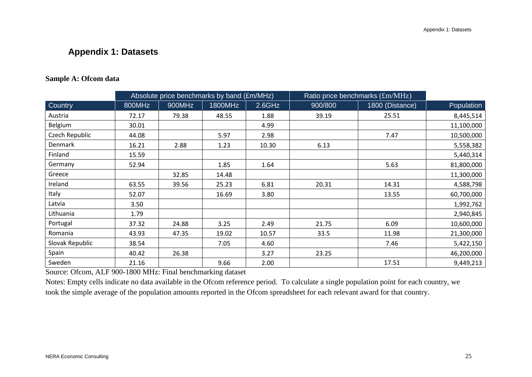# **Appendix 1: Datasets**

#### **Sample A: Ofcom data**

|                 |        | Absolute price benchmarks by band (£m/MHz)<br>Ratio price benchmarks (£m/MHz) |         |        |         |                 |            |
|-----------------|--------|-------------------------------------------------------------------------------|---------|--------|---------|-----------------|------------|
| Country         | 800MHz | 900MHz                                                                        | 1800MHz | 2.6GHz | 900/800 | 1800 (Distance) | Population |
| Austria         | 72.17  | 79.38                                                                         | 48.55   | 1.88   | 39.19   | 25.51           | 8,445,514  |
| Belgium         | 30.01  |                                                                               |         | 4.99   |         |                 | 11,100,000 |
| Czech Republic  | 44.08  |                                                                               | 5.97    | 2.98   |         | 7.47            | 10,500,000 |
| Denmark         | 16.21  | 2.88                                                                          | 1.23    | 10.30  | 6.13    |                 | 5,558,382  |
| Finland         | 15.59  |                                                                               |         |        |         |                 | 5,440,314  |
| Germany         | 52.94  |                                                                               | 1.85    | 1.64   |         | 5.63            | 81,800,000 |
| Greece          |        | 32.85                                                                         | 14.48   |        |         |                 | 11,300,000 |
| Ireland         | 63.55  | 39.56                                                                         | 25.23   | 6.81   | 20.31   | 14.31           | 4,588,798  |
| Italy           | 52.07  |                                                                               | 16.69   | 3.80   |         | 13.55           | 60,700,000 |
| Latvia          | 3.50   |                                                                               |         |        |         |                 | 1,992,762  |
| Lithuania       | 1.79   |                                                                               |         |        |         |                 | 2,940,845  |
| Portugal        | 37.32  | 24.88                                                                         | 3.25    | 2.49   | 21.75   | 6.09            | 10,600,000 |
| Romania         | 43.93  | 47.35                                                                         | 19.02   | 10.57  | 33.5    | 11.98           | 21,300,000 |
| Slovak Republic | 38.54  |                                                                               | 7.05    | 4.60   |         | 7.46            | 5,422,150  |
| Spain           | 40.42  | 26.38                                                                         |         | 3.27   | 23.25   |                 | 46,200,000 |
| Sweden          | 21.16  |                                                                               | 9.66    | 2.00   |         | 17.51           | 9,449,213  |

<span id="page-24-0"></span>Source: Ofcom, ALF 900-1800 MHz: Final benchmarking dataset

Notes: Empty cells indicate no data available in the Ofcom reference period. To calculate a single population point for each country, we took the simple average of the population amounts reported in the Ofcom spreadsheet for each relevant award for that country.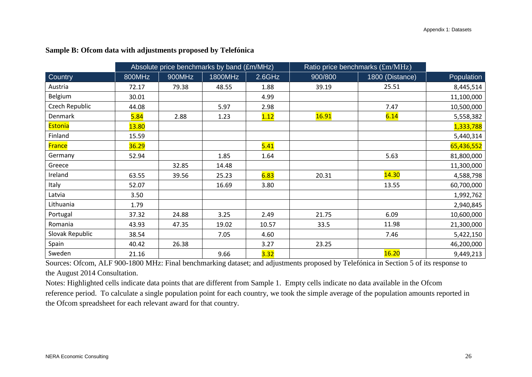|                 | Absolute price benchmarks by band (£m/MHz) |        |         |           | Ratio price benchmarks (£m/MHz) |                 |            |
|-----------------|--------------------------------------------|--------|---------|-----------|---------------------------------|-----------------|------------|
| Country         | 800MHz                                     | 900MHz | 1800MHz | $2.6$ GHz | 900/800                         | 1800 (Distance) | Population |
| Austria         | 72.17                                      | 79.38  | 48.55   | 1.88      | 39.19                           | 25.51           | 8,445,514  |
| Belgium         | 30.01                                      |        |         | 4.99      |                                 |                 | 11,100,000 |
| Czech Republic  | 44.08                                      |        | 5.97    | 2.98      |                                 | 7.47            | 10,500,000 |
| Denmark         | 5.84                                       | 2.88   | 1.23    | 1.12      | <b>16.91</b>                    | 6.14            | 5,558,382  |
| <b>Estonia</b>  | 13.80                                      |        |         |           |                                 |                 | 1,333,788  |
| Finland         | 15.59                                      |        |         |           |                                 |                 | 5,440,314  |
| <b>France</b>   | 36.29                                      |        |         | 5.41      |                                 |                 | 65,436,552 |
| Germany         | 52.94                                      |        | 1.85    | 1.64      |                                 | 5.63            | 81,800,000 |
| Greece          |                                            | 32.85  | 14.48   |           |                                 |                 | 11,300,000 |
| Ireland         | 63.55                                      | 39.56  | 25.23   | 6.83      | 20.31                           | 14.30           | 4,588,798  |
| Italy           | 52.07                                      |        | 16.69   | 3.80      |                                 | 13.55           | 60,700,000 |
| Latvia          | 3.50                                       |        |         |           |                                 |                 | 1,992,762  |
| Lithuania       | 1.79                                       |        |         |           |                                 |                 | 2,940,845  |
| Portugal        | 37.32                                      | 24.88  | 3.25    | 2.49      | 21.75                           | 6.09            | 10,600,000 |
| Romania         | 43.93                                      | 47.35  | 19.02   | 10.57     | 33.5                            | 11.98           | 21,300,000 |
| Slovak Republic | 38.54                                      |        | 7.05    | 4.60      |                                 | 7.46            | 5,422,150  |
| Spain           | 40.42                                      | 26.38  |         | 3.27      | 23.25                           |                 | 46,200,000 |
| Sweden          | 21.16                                      |        | 9.66    | 3.32      |                                 | 16.20           | 9,449,213  |

#### **Sample B: Ofcom data with adjustments proposed by Telefónica**

Sources: Ofcom, ALF 900-1800 MHz: Final benchmarking dataset; and adjustments proposed by Telefónica in Section 5 of its response to the August 2014 Consultation.

Notes: Highlighted cells indicate data points that are different from Sample 1. Empty cells indicate no data available in the Ofcom reference period. To calculate a single population point for each country, we took the simple average of the population amounts reported in the Ofcom spreadsheet for each relevant award for that country.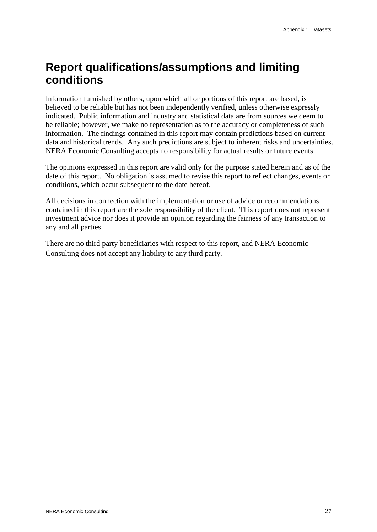# <span id="page-26-0"></span>**Report qualifications/assumptions and limiting conditions**

Information furnished by others, upon which all or portions of this report are based, is believed to be reliable but has not been independently verified, unless otherwise expressly indicated. Public information and industry and statistical data are from sources we deem to be reliable; however, we make no representation as to the accuracy or completeness of such information. The findings contained in this report may contain predictions based on current data and historical trends. Any such predictions are subject to inherent risks and uncertainties. NERA Economic Consulting accepts no responsibility for actual results or future events.

The opinions expressed in this report are valid only for the purpose stated herein and as of the date of this report. No obligation is assumed to revise this report to reflect changes, events or conditions, which occur subsequent to the date hereof.

All decisions in connection with the implementation or use of advice or recommendations contained in this report are the sole responsibility of the client. This report does not represent investment advice nor does it provide an opinion regarding the fairness of any transaction to any and all parties.

There are no third party beneficiaries with respect to this report, and NERA Economic Consulting does not accept any liability to any third party.